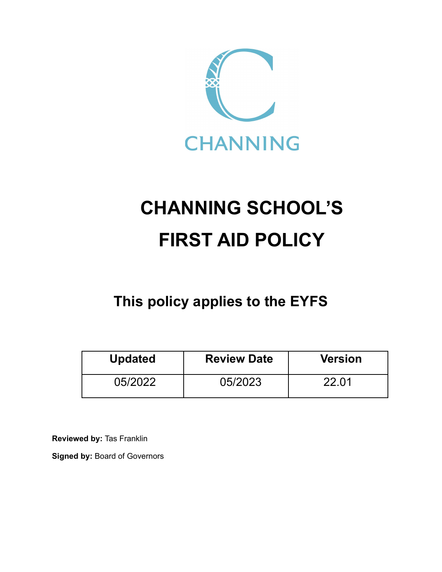

# **CHANNING SCHOOL'S FIRST AID POLICY**

# **This policy applies to the EYFS**

| <b>Updated</b> | <b>Review Date</b> | <b>Version</b> |
|----------------|--------------------|----------------|
| 05/2022        | 05/2023            | 22.01          |

**Reviewed by:** Tas Franklin

**Signed by:** Board of Governors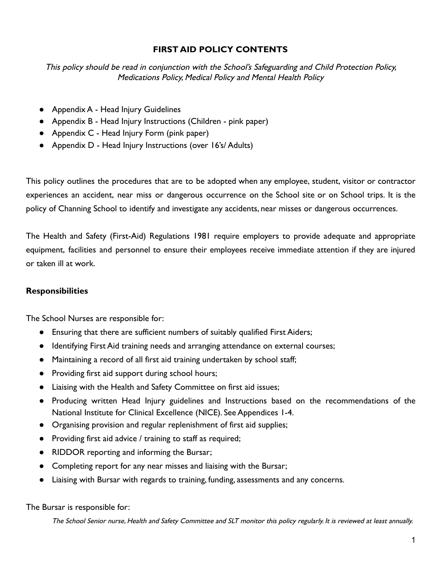# **FIRST AID POLICY CONTENTS**

This policy should be read in conjunction with the School's Safeguarding and Child Protection Policy, Medications Policy, Medical Policy and Mental Health Policy

- Appendix A Head Injury Guidelines
- Appendix B Head Injury Instructions (Children pink paper)
- Appendix C Head Injury Form (pink paper)
- Appendix D Head Injury Instructions (over 16's/ Adults)

This policy outlines the procedures that are to be adopted when any employee, student, visitor or contractor experiences an accident, near miss or dangerous occurrence on the School site or on School trips. It is the policy of Channing School to identify and investigate any accidents, near misses or dangerous occurrences.

The Health and Safety (First-Aid) Regulations 1981 require employers to provide adequate and appropriate equipment, facilities and personnel to ensure their employees receive immediate attention if they are injured or taken ill at work.

# **Responsibilities**

The School Nurses are responsible for:

- Ensuring that there are sufficient numbers of suitably qualified First Aiders;
- Identifying First Aid training needs and arranging attendance on external courses;
- Maintaining a record of all first aid training undertaken by school staff;
- Providing first aid support during school hours;
- Liaising with the Health and Safety Committee on first aid issues;
- Producing written Head Injury guidelines and Instructions based on the recommendations of the National Institute for Clinical Excellence (NICE). See Appendices 1-4.
- Organising provision and regular replenishment of first aid supplies;
- Providing first aid advice / training to staff as required;
- RIDDOR reporting and informing the Bursar;
- Completing report for any near misses and liaising with the Bursar;
- Liaising with Bursar with regards to training, funding, assessments and any concerns.

The Bursar is responsible for: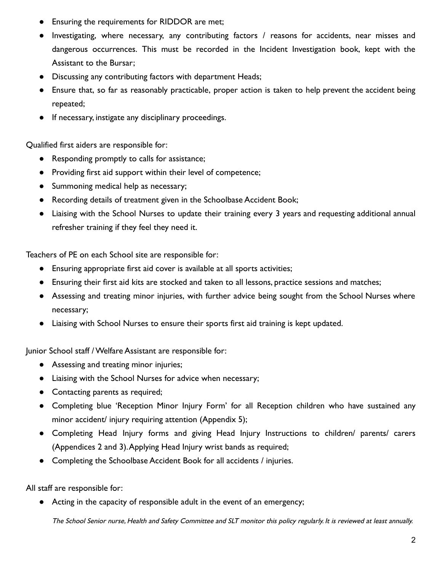- Ensuring the requirements for RIDDOR are met;
- Investigating, where necessary, any contributing factors / reasons for accidents, near misses and dangerous occurrences. This must be recorded in the Incident Investigation book, kept with the Assistant to the Bursar;
- Discussing any contributing factors with department Heads;
- Ensure that, so far as reasonably practicable, proper action is taken to help prevent the accident being repeated;
- If necessary, instigate any disciplinary proceedings.

Qualified first aiders are responsible for:

- Responding promptly to calls for assistance;
- Providing first aid support within their level of competence;
- Summoning medical help as necessary;
- Recording details of treatment given in the Schoolbase Accident Book;
- Liaising with the School Nurses to update their training every 3 years and requesting additional annual refresher training if they feel they need it.

Teachers of PE on each School site are responsible for:

- Ensuring appropriate first aid cover is available at all sports activities;
- Ensuring their first aid kits are stocked and taken to all lessons, practice sessions and matches;
- Assessing and treating minor injuries, with further advice being sought from the School Nurses where necessary;
- Liaising with School Nurses to ensure their sports first aid training is kept updated.

Junior School staff / Welfare Assistant are responsible for:

- Assessing and treating minor injuries;
- Liaising with the School Nurses for advice when necessary;
- Contacting parents as required;
- Completing blue 'Reception Minor Injury Form' for all Reception children who have sustained any minor accident/ injury requiring attention (Appendix 5);
- Completing Head Injury forms and giving Head Injury Instructions to children/ parents/ carers (Appendices 2 and 3).Applying Head Injury wrist bands as required;
- Completing the Schoolbase Accident Book for all accidents / injuries.

All staff are responsible for:

● Acting in the capacity of responsible adult in the event of an emergency;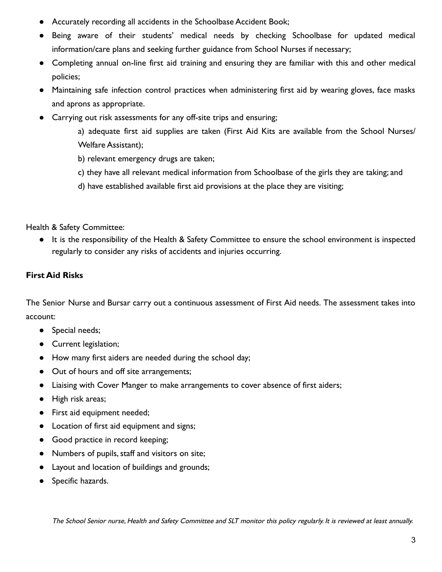- Accurately recording all accidents in the Schoolbase Accident Book;
- Being aware of their students' medical needs by checking Schoolbase for updated medical information/care plans and seeking further guidance from School Nurses if necessary;
- Completing annual on-line first aid training and ensuring they are familiar with this and other medical policies;
- Maintaining safe infection control practices when administering first aid by wearing gloves, face masks and aprons as appropriate.
- Carrying out risk assessments for any off-site trips and ensuring;

a) adequate first aid supplies are taken (First Aid Kits are available from the School Nurses/ Welfare Assistant);

- b) relevant emergency drugs are taken;
- c) they have all relevant medical information from Schoolbase of the girls they are taking; and
- d) have established available first aid provisions at the place they are visiting;

Health & Safety Committee:

● It is the responsibility of the Health & Safety Committee to ensure the school environment is inspected regularly to consider any risks of accidents and injuries occurring.

# **First Aid Risks**

The Senior Nurse and Bursar carry out a continuous assessment of First Aid needs. The assessment takes into account:

- Special needs;
- Current legislation;
- How many first aiders are needed during the school day;
- Out of hours and off site arrangements;
- Liaising with Cover Manger to make arrangements to cover absence of first aiders;
- High risk areas;
- First aid equipment needed;
- Location of first aid equipment and signs;
- Good practice in record keeping;
- Numbers of pupils, staff and visitors on site;
- Layout and location of buildings and grounds;
- Specific hazards.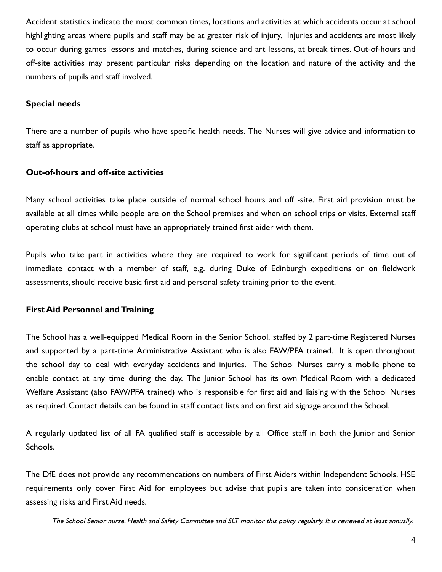Accident statistics indicate the most common times, locations and activities at which accidents occur at school highlighting areas where pupils and staff may be at greater risk of injury. Injuries and accidents are most likely to occur during games lessons and matches, during science and art lessons, at break times. Out-of-hours and off-site activities may present particular risks depending on the location and nature of the activity and the numbers of pupils and staff involved.

#### **Special needs**

There are a number of pupils who have specific health needs. The Nurses will give advice and information to staff as appropriate.

#### **Out-of-hours and off-site activities**

Many school activities take place outside of normal school hours and off -site. First aid provision must be available at all times while people are on the School premises and when on school trips or visits. External staff operating clubs at school must have an appropriately trained first aider with them.

Pupils who take part in activities where they are required to work for significant periods of time out of immediate contact with a member of staff, e.g. during Duke of Edinburgh expeditions or on fieldwork assessments, should receive basic first aid and personal safety training prior to the event.

#### **First Aid Personnel and Training**

The School has a well-equipped Medical Room in the Senior School, staffed by 2 part-time Registered Nurses and supported by a part-time Administrative Assistant who is also FAW/PFA trained. It is open throughout the school day to deal with everyday accidents and injuries. The School Nurses carry a mobile phone to enable contact at any time during the day. The Junior School has its own Medical Room with a dedicated Welfare Assistant (also FAW/PFA trained) who is responsible for first aid and liaising with the School Nurses as required. Contact details can be found in staff contact lists and on first aid signage around the School.

A regularly updated list of all FA qualified staff is accessible by all Office staff in both the Junior and Senior Schools.

The DfE does not provide any recommendations on numbers of First Aiders within Independent Schools. HSE requirements only cover First Aid for employees but advise that pupils are taken into consideration when assessing risks and First Aid needs.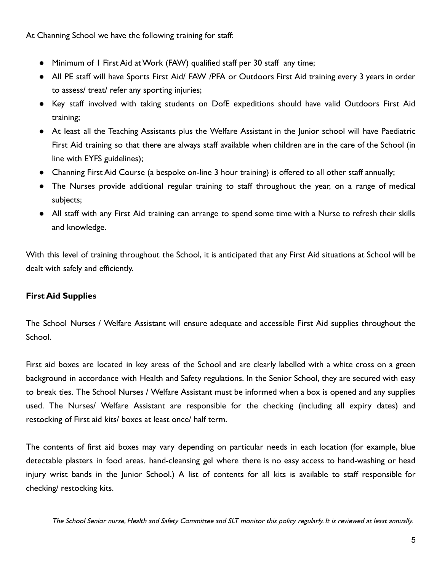At Channing School we have the following training for staff:

- Minimum of I First Aid at Work (FAW) qualified staff per 30 staff any time;
- All PE staff will have Sports First Aid/ FAW /PFA or Outdoors First Aid training every 3 years in order to assess/ treat/ refer any sporting injuries;
- Key staff involved with taking students on DofE expeditions should have valid Outdoors First Aid training;
- At least all the Teaching Assistants plus the Welfare Assistant in the Junior school will have Paediatric First Aid training so that there are always staff available when children are in the care of the School (in line with EYFS guidelines);
- Channing First Aid Course (a bespoke on-line 3 hour training) is offered to all other staff annually;
- The Nurses provide additional regular training to staff throughout the year, on a range of medical subjects;
- All staff with any First Aid training can arrange to spend some time with a Nurse to refresh their skills and knowledge.

With this level of training throughout the School, it is anticipated that any First Aid situations at School will be dealt with safely and efficiently.

# **First Aid Supplies**

The School Nurses / Welfare Assistant will ensure adequate and accessible First Aid supplies throughout the School.

First aid boxes are located in key areas of the School and are clearly labelled with a white cross on a green background in accordance with Health and Safety regulations. In the Senior School, they are secured with easy to break ties. The School Nurses / Welfare Assistant must be informed when a box is opened and any supplies used. The Nurses/ Welfare Assistant are responsible for the checking (including all expiry dates) and restocking of First aid kits/ boxes at least once/ half term.

The contents of first aid boxes may vary depending on particular needs in each location (for example, blue detectable plasters in food areas. hand-cleansing gel where there is no easy access to hand-washing or head injury wrist bands in the Junior School.) A list of contents for all kits is available to staff responsible for checking/ restocking kits.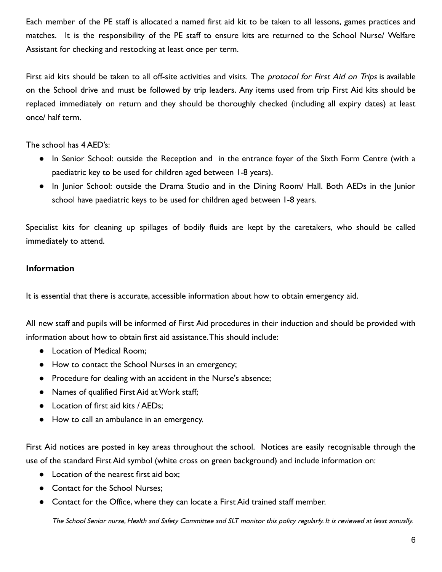Each member of the PE staff is allocated a named first aid kit to be taken to all lessons, games practices and matches. It is the responsibility of the PE staff to ensure kits are returned to the School Nurse/ Welfare Assistant for checking and restocking at least once per term.

First aid kits should be taken to all off-site activities and visits. The *protocol for First Aid on Trips* is available on the School drive and must be followed by trip leaders. Any items used from trip First Aid kits should be replaced immediately on return and they should be thoroughly checked (including all expiry dates) at least once/ half term.

The school has 4 AED's:

- In Senior School: outside the Reception and in the entrance foyer of the Sixth Form Centre (with a paediatric key to be used for children aged between 1-8 years).
- In Junior School: outside the Drama Studio and in the Dining Room/ Hall. Both AEDs in the Junior school have paediatric keys to be used for children aged between 1-8 years.

Specialist kits for cleaning up spillages of bodily fluids are kept by the caretakers, who should be called immediately to attend.

# **Information**

It is essential that there is accurate, accessible information about how to obtain emergency aid.

All new staff and pupils will be informed of First Aid procedures in their induction and should be provided with information about how to obtain first aid assistance.This should include:

- Location of Medical Room:
- How to contact the School Nurses in an emergency;
- Procedure for dealing with an accident in the Nurse's absence;
- Names of qualified First Aid at Work staff;
- Location of first aid kits / AEDs;
- How to call an ambulance in an emergency.

First Aid notices are posted in key areas throughout the school. Notices are easily recognisable through the use of the standard First Aid symbol (white cross on green background) and include information on:

- Location of the nearest first aid box:
- Contact for the School Nurses;
- Contact for the Office, where they can locate a First Aid trained staff member.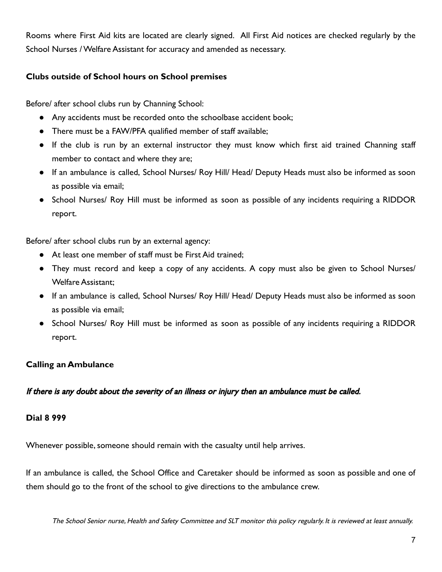Rooms where First Aid kits are located are clearly signed. All First Aid notices are checked regularly by the School Nurses / Welfare Assistant for accuracy and amended as necessary.

#### **Clubs outside of School hours on School premises**

Before/ after school clubs run by Channing School:

- Any accidents must be recorded onto the schoolbase accident book;
- There must be a FAW/PFA qualified member of staff available;
- If the club is run by an external instructor they must know which first aid trained Channing staff member to contact and where they are;
- If an ambulance is called, School Nurses/ Roy Hill/ Head/ Deputy Heads must also be informed as soon as possible via email;
- School Nurses/ Roy Hill must be informed as soon as possible of any incidents requiring a RIDDOR report.

Before/ after school clubs run by an external agency:

- At least one member of staff must be First Aid trained:
- They must record and keep a copy of any accidents. A copy must also be given to School Nurses/ Welfare Assistant;
- If an ambulance is called, School Nurses/ Roy Hill/ Head/ Deputy Heads must also be informed as soon as possible via email;
- School Nurses/ Roy Hill must be informed as soon as possible of any incidents requiring a RIDDOR report.

# **Calling an Ambulance**

If there is any doubt about the severity of an illness or injury then an ambulance must be called.

#### **Dial 8 999**

Whenever possible, someone should remain with the casualty until help arrives.

If an ambulance is called, the School Office and Caretaker should be informed as soon as possible and one of them should go to the front of the school to give directions to the ambulance crew.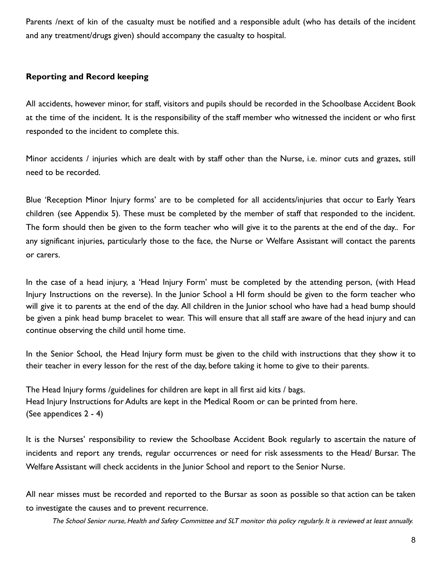Parents /next of kin of the casualty must be notified and a responsible adult (who has details of the incident and any treatment/drugs given) should accompany the casualty to hospital.

#### **Reporting and Record keeping**

All accidents, however minor, for staff, visitors and pupils should be recorded in the Schoolbase Accident Book at the time of the incident. It is the responsibility of the staff member who witnessed the incident or who first responded to the incident to complete this.

Minor accidents / injuries which are dealt with by staff other than the Nurse, i.e. minor cuts and grazes, still need to be recorded.

Blue 'Reception Minor Injury forms' are to be completed for all accidents/injuries that occur to Early Years children (see Appendix 5). These must be completed by the member of staff that responded to the incident. The form should then be given to the form teacher who will give it to the parents at the end of the day.. For any significant injuries, particularly those to the face, the Nurse or Welfare Assistant will contact the parents or carers.

In the case of a head injury, a 'Head Injury Form' must be completed by the attending person, (with Head Injury Instructions on the reverse). In the Junior School a HI form should be given to the form teacher who will give it to parents at the end of the day. All children in the Junior school who have had a head bump should be given a pink head bump bracelet to wear. This will ensure that all staff are aware of the head injury and can continue observing the child until home time.

In the Senior School, the Head Injury form must be given to the child with instructions that they show it to their teacher in every lesson for the rest of the day, before taking it home to give to their parents.

The Head Injury forms /guidelines for children are kept in all first aid kits / bags. Head Injury Instructions for Adults are kept in the Medical Room or can be printed from here. (See appendices 2 - 4)

It is the Nurses' responsibility to review the Schoolbase Accident Book regularly to ascertain the nature of incidents and report any trends, regular occurrences or need for risk assessments to the Head/ Bursar. The Welfare Assistant will check accidents in the Junior School and report to the Senior Nurse.

All near misses must be recorded and reported to the Bursar as soon as possible so that action can be taken to investigate the causes and to prevent recurrence.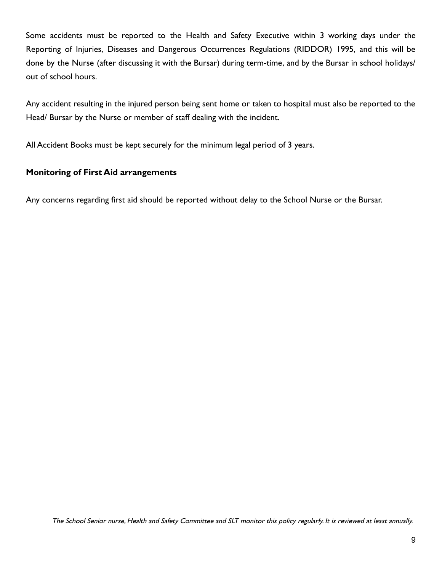Some accidents must be reported to the Health and Safety Executive within 3 working days under the Reporting of Injuries, Diseases and Dangerous Occurrences Regulations (RIDDOR) 1995, and this will be done by the Nurse (after discussing it with the Bursar) during term-time, and by the Bursar in school holidays/ out of school hours.

Any accident resulting in the injured person being sent home or taken to hospital must also be reported to the Head/ Bursar by the Nurse or member of staff dealing with the incident.

All Accident Books must be kept securely for the minimum legal period of 3 years.

# **Monitoring of First Aid arrangements**

Any concerns regarding first aid should be reported without delay to the School Nurse or the Bursar.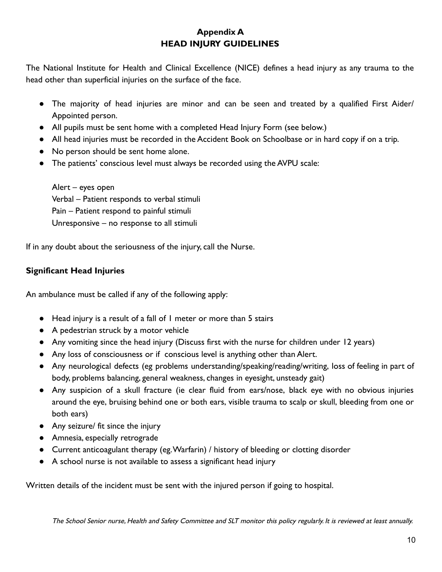# **Appendix A HEAD INJURY GUIDELINES**

The National Institute for Health and Clinical Excellence (NICE) defines a head injury as any trauma to the head other than superficial injuries on the surface of the face.

- The majority of head injuries are minor and can be seen and treated by a qualified First Aider/ Appointed person.
- All pupils must be sent home with a completed Head Injury Form (see below.)
- All head injuries must be recorded in the Accident Book on Schoolbase or in hard copy if on a trip.
- No person should be sent home alone.
- The patients' conscious level must always be recorded using the AVPU scale:

Alert – eyes open Verbal – Patient responds to verbal stimuli Pain – Patient respond to painful stimuli Unresponsive – no response to all stimuli

If in any doubt about the seriousness of the injury, call the Nurse.

# **Significant Head Injuries**

An ambulance must be called if any of the following apply:

- Head injury is a result of a fall of 1 meter or more than 5 stairs
- A pedestrian struck by a motor vehicle
- Any vomiting since the head injury (Discuss first with the nurse for children under 12 years)
- Any loss of consciousness or if conscious level is anything other than Alert.
- Any neurological defects (eg problems understanding/speaking/reading/writing, loss of feeling in part of body, problems balancing, general weakness, changes in eyesight, unsteady gait)
- Any suspicion of a skull fracture (ie clear fluid from ears/nose, black eye with no obvious injuries around the eye, bruising behind one or both ears, visible trauma to scalp or skull, bleeding from one or both ears)
- Any seizure/ fit since the injury
- Amnesia, especially retrograde
- Current anticoagulant therapy (eg.Warfarin) / history of bleeding or clotting disorder
- A school nurse is not available to assess a significant head injury

Written details of the incident must be sent with the injured person if going to hospital.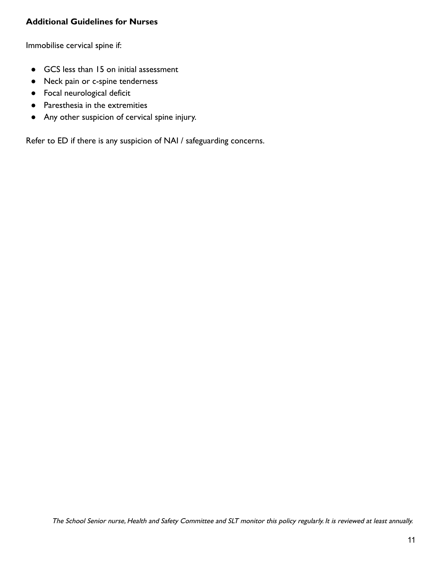# **Additional Guidelines for Nurses**

Immobilise cervical spine if:

- GCS less than 15 on initial assessment
- Neck pain or c-spine tenderness
- Focal neurological deficit
- Paresthesia in the extremities
- Any other suspicion of cervical spine injury.

Refer to ED if there is any suspicion of NAI / safeguarding concerns.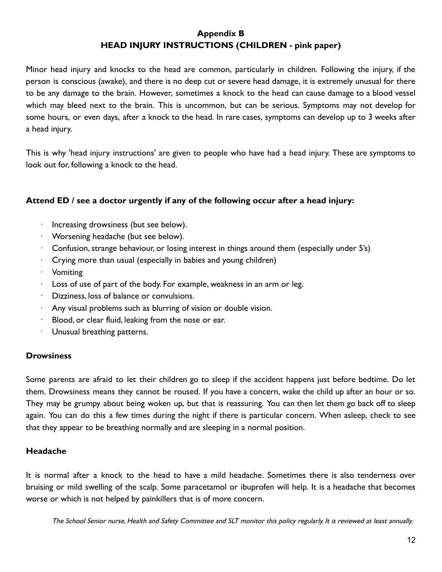# **Appendix B HEAD INJURY INSTRUCTIONS (CHILDREN - pink paper)**

Minor head injury and knocks to the head are common, particularly in children. Following the injury, if the person is conscious (awake), and there is no deep cut or severe head damage, it is extremely unusual for there to be any damage to the brain. However, sometimes a knock to the head can cause damage to a blood vessel which may bleed next to the brain. This is uncommon, but can be serious. Symptoms may not develop for some hours, or even days, after a knock to the head. In rare cases, symptoms can develop up to 3 weeks after a head injury.

This is why 'head injury instructions' are given to people who have had a head injury. These are symptoms to look out for, following a knock to the head.

#### **Attend ED / see a doctor urgently if any of the following occur after a head injury:**

- Increasing drowsiness (but see below).
- · Worsening headache (but see below).
- $\cdot$  Confusion, strange behaviour, or losing interest in things around them (especially under 5's)
- $\cdot$  Crying more than usual (especially in babies and young children)
- · Vomiting
- $\cdot$  Loss of use of part of the body. For example, weakness in an arm or leg.
- · Dizziness, loss of balance or convulsions.
- Any visual problems such as blurring of vision or double vision.
- Blood, or clear fluid, leaking from the nose or ear.
- Unusual breathing patterns.

#### **Drowsiness**

Some parents are afraid to let their children go to sleep if the accident happens just before bedtime. Do let them. Drowsiness means they cannot be roused. If you have a concern, wake the child up after an hour or so. They may be grumpy about being woken up, but that is reassuring. You can then let them go back off to sleep again. You can do this a few times during the night if there is particular concern. When asleep, check to see that they appear to be breathing normally and are sleeping in a normal position.

# **Headache**

It is normal after a knock to the head to have a mild headache. Sometimes there is also tenderness over bruising or mild swelling of the scalp. Some paracetamol or ibuprofen will help. It is a headache that becomes worse or which is not helped by painkillers that is of more concern.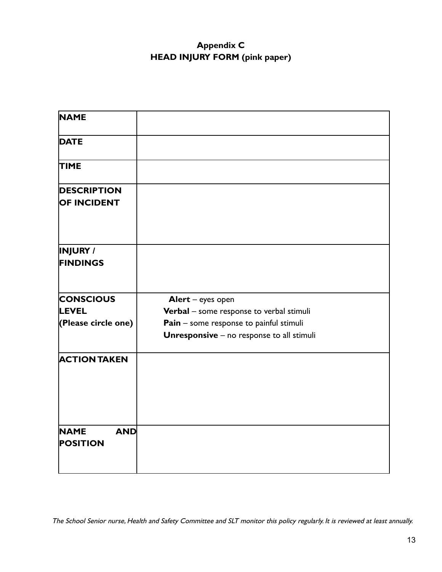# **Appendix C HEAD INJURY FORM (pink paper)**

| <b>NAME</b>                                             |                                                                                                                                                              |
|---------------------------------------------------------|--------------------------------------------------------------------------------------------------------------------------------------------------------------|
| <b>DATE</b>                                             |                                                                                                                                                              |
| <b>TIME</b>                                             |                                                                                                                                                              |
| <b>DESCRIPTION</b><br><b>OF INCIDENT</b>                |                                                                                                                                                              |
| <b>INJURY</b> /<br><b>FINDINGS</b>                      |                                                                                                                                                              |
| <b>CONSCIOUS</b><br><b>LEVEL</b><br>(Please circle one) | Alert - eyes open<br>Verbal - some response to verbal stimuli<br>Pain - some response to painful stimuli<br><b>Unresponsive</b> - no response to all stimuli |
| <b>ACTION TAKEN</b>                                     |                                                                                                                                                              |
| <b>NAME</b><br><b>AND</b><br><b>POSITION</b>            |                                                                                                                                                              |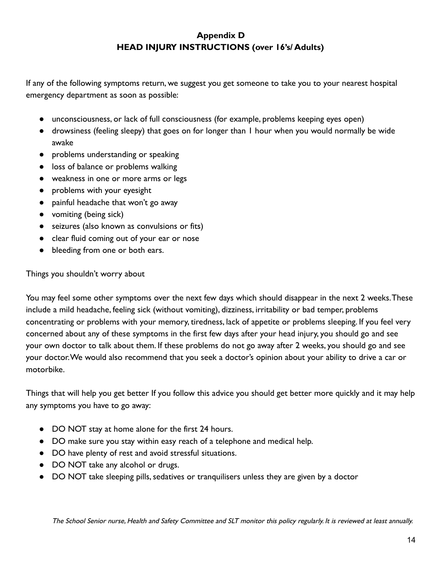# **Appendix D HEAD INJURY INSTRUCTIONS (over 16's/ Adults)**

If any of the following symptoms return, we suggest you get someone to take you to your nearest hospital emergency department as soon as possible:

- unconsciousness, or lack of full consciousness (for example, problems keeping eyes open)
- drowsiness (feeling sleepy) that goes on for longer than 1 hour when you would normally be wide awake
- problems understanding or speaking
- loss of balance or problems walking
- weakness in one or more arms or legs
- problems with your eyesight
- painful headache that won't go away
- vomiting (being sick)
- seizures (also known as convulsions or fits)
- clear fluid coming out of your ear or nose
- bleeding from one or both ears.

Things you shouldn't worry about

You may feel some other symptoms over the next few days which should disappear in the next 2 weeks.These include a mild headache, feeling sick (without vomiting), dizziness, irritability or bad temper, problems concentrating or problems with your memory, tiredness, lack of appetite or problems sleeping. If you feel very concerned about any of these symptoms in the first few days after your head injury, you should go and see your own doctor to talk about them. If these problems do not go away after 2 weeks, you should go and see your doctor.We would also recommend that you seek a doctor's opinion about your ability to drive a car or motorbike.

Things that will help you get better If you follow this advice you should get better more quickly and it may help any symptoms you have to go away:

- DO NOT stay at home alone for the first 24 hours.
- DO make sure you stay within easy reach of a telephone and medical help.
- DO have plenty of rest and avoid stressful situations.
- DO NOT take any alcohol or drugs.
- DO NOT take sleeping pills, sedatives or tranquilisers unless they are given by a doctor